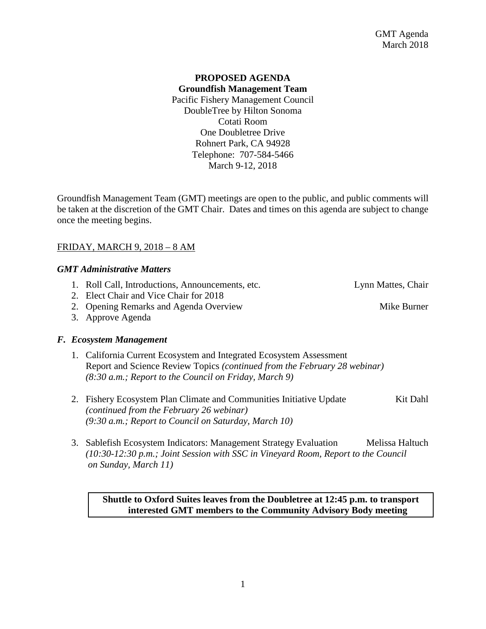# **PROPOSED AGENDA Groundfish Management Team** Pacific Fishery Management Council DoubleTree by Hilton Sonoma Cotati Room One Doubletree Drive Rohnert Park, CA 94928

Telephone: 707-584-5466 March 9-12, 2018

Groundfish Management Team (GMT) meetings are open to the public, and public comments will be taken at the discretion of the GMT Chair. Dates and times on this agenda are subject to change once the meeting begins.

# FRIDAY, MARCH 9, 2018 – 8 AM

# *GMT Administrative Matters*

- 1. Roll Call, Introductions, Announcements, etc. Lynn Mattes, Chair
- 2. Elect Chair and Vice Chair for 2018
- 2. Opening Remarks and Agenda Overview Mike Burner
- 3. Approve Agenda

# *F. Ecosystem Management*

- 1. California Current Ecosystem and Integrated Ecosystem Assessment Report and Science Review Topics *(continued from the February 28 webinar) (8:30 a.m.; Report to the Council on Friday, March 9)*
- 2. Fishery Ecosystem Plan Climate and Communities Initiative Update Kit Dahl *(continued from the February 26 webinar) (9:30 a.m.; Report to Council on Saturday, March 10)*
- 3. Sablefish Ecosystem Indicators: Management Strategy Evaluation Melissa Haltuch *(10:30-12:30 p.m.; Joint Session with SSC in Vineyard Room, Report to the Council on Sunday, March 11)*

**Shuttle to Oxford Suites leaves from the Doubletree at 12:45 p.m. to transport interested GMT members to the Community Advisory Body meeting** 

1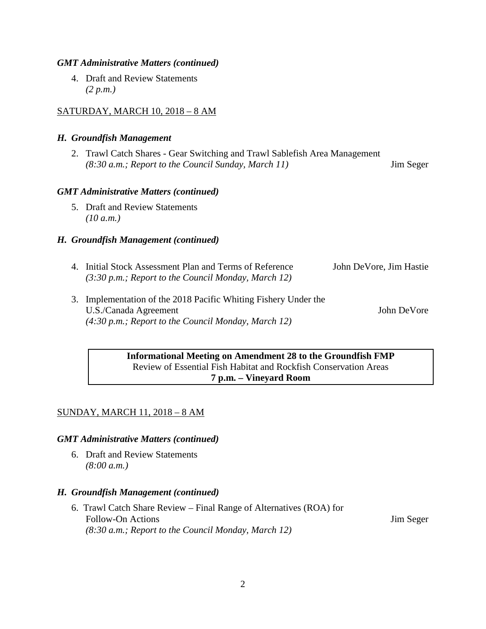# *GMT Administrative Matters (continued)*

4. Draft and Review Statements *(2 p.m.)*

# SATURDAY, MARCH 10, 2018 – 8 AM

# *H. Groundfish Management*

2. Trawl Catch Shares - Gear Switching and Trawl Sablefish Area Management *(8:30 a.m.; Report to the Council Sunday, March 11)* Jim Seger

### *GMT Administrative Matters (continued)*

5. Draft and Review Statements *(10 a.m.)*

### *H. Groundfish Management (continued)*

| 4. Initial Stock Assessment Plan and Terms of Reference<br>$(3:30 \text{ p.m.};$ Report to the Council Monday, March 12) | John DeVore, Jim Hastie |
|--------------------------------------------------------------------------------------------------------------------------|-------------------------|
| 3. Implementation of the 2018 Pacific Whiting Fishery Under the<br>U.S./Canada Agreement                                 | John DeVore             |

*(4:30 p.m.; Report to the Council Monday, March 12)*

# **Informational Meeting on Amendment 28 to the Groundfish FMP** Review of Essential Fish Habitat and Rockfish Conservation Areas **7 p.m. – Vineyard Room**

# SUNDAY, MARCH 11, 2018 – 8 AM

#### *GMT Administrative Matters (continued)*

6. Draft and Review Statements *(8:00 a.m.)*

#### *H. Groundfish Management (continued)*

6. Trawl Catch Share Review – Final Range of Alternatives (ROA) for Follow-On Actions Jim Seger *(8:30 a.m.; Report to the Council Monday, March 12)*